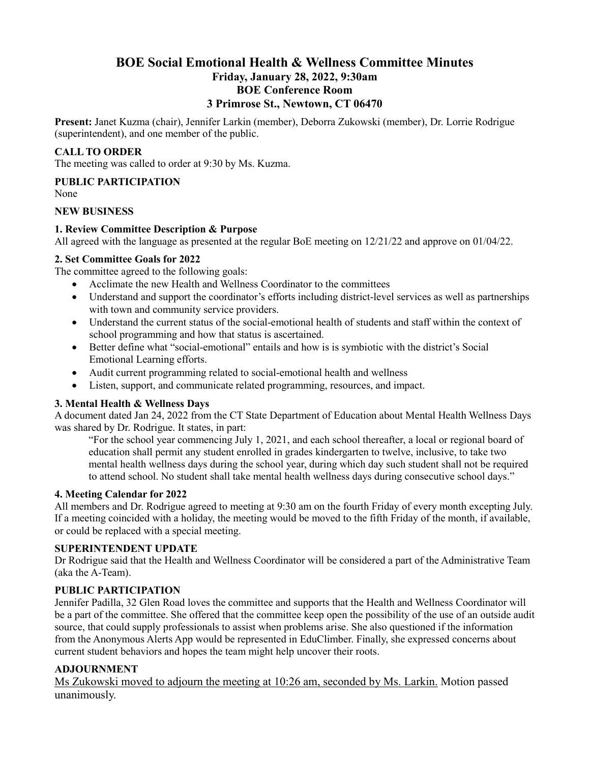## **BOE Social Emotional Health & Wellness Committee Minutes Friday, January 28, 2022, 9:30am BOE Conference Room 3 Primrose St., Newtown, CT 06470**

**Present:** Janet Kuzma (chair), Jennifer Larkin (member), Deborra Zukowski (member), Dr. Lorrie Rodrigue (superintendent), and one member of the public.

## **CALL TO ORDER**

The meeting was called to order at 9:30 by Ms. Kuzma.

#### **PUBLIC PARTICIPATION**

None

#### **NEW BUSINESS**

## **1. Review Committee Description & Purpose**

All agreed with the language as presented at the regular BoE meeting on 12/21/22 and approve on 01/04/22.

## **2. Set Committee Goals for 2022**

The committee agreed to the following goals:

- Acclimate the new Health and Wellness Coordinator to the committees
- Understand and support the coordinator's efforts including district-level services as well as partnerships with town and community service providers.
- Understand the current status of the social-emotional health of students and staff within the context of school programming and how that status is ascertained.
- Better define what "social-emotional" entails and how is is symbiotic with the district's Social Emotional Learning efforts.
- Audit current programming related to social-emotional health and wellness
- Listen, support, and communicate related programming, resources, and impact.

## **3. Mental Health & Wellness Days**

A document dated Jan 24, 2022 from the CT State Department of Education about Mental Health Wellness Days was shared by Dr. Rodrigue. It states, in part:

"For the school year commencing July 1, 2021, and each school thereafter, a local or regional board of education shall permit any student enrolled in grades kindergarten to twelve, inclusive, to take two mental health wellness days during the school year, during which day such student shall not be required to attend school. No student shall take mental health wellness days during consecutive school days."

#### **4. Meeting Calendar for 2022**

All members and Dr. Rodrigue agreed to meeting at 9:30 am on the fourth Friday of every month excepting July. If a meeting coincided with a holiday, the meeting would be moved to the fifth Friday of the month, if available, or could be replaced with a special meeting.

## **SUPERINTENDENT UPDATE**

Dr Rodrigue said that the Health and Wellness Coordinator will be considered a part of the Administrative Team (aka the A-Team).

## **PUBLIC PARTICIPATION**

Jennifer Padilla, 32 Glen Road loves the committee and supports that the Health and Wellness Coordinator will be a part of the committee. She offered that the committee keep open the possibility of the use of an outside audit source, that could supply professionals to assist when problems arise. She also questioned if the information from the Anonymous Alerts App would be represented in EduClimber. Finally, she expressed concerns about current student behaviors and hopes the team might help uncover their roots.

## **ADJOURNMENT**

Ms Zukowski moved to adjourn the meeting at 10:26 am, seconded by Ms. Larkin. Motion passed unanimously.